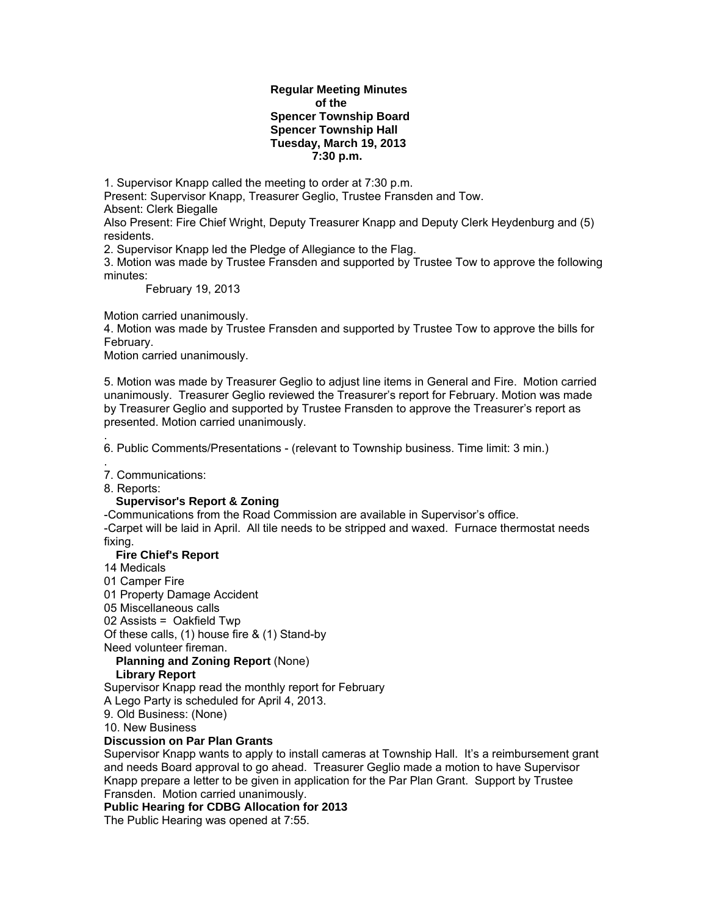#### **Regular Meeting Minutes of the Spencer Township Board Spencer Township Hall Tuesday, March 19, 2013 7:30 p.m.**

1. Supervisor Knapp called the meeting to order at 7:30 p.m.

Present: Supervisor Knapp, Treasurer Geglio, Trustee Fransden and Tow. Absent: Clerk Biegalle

Also Present: Fire Chief Wright, Deputy Treasurer Knapp and Deputy Clerk Heydenburg and (5) residents.

2. Supervisor Knapp led the Pledge of Allegiance to the Flag.

3. Motion was made by Trustee Fransden and supported by Trustee Tow to approve the following minutes:

February 19, 2013

Motion carried unanimously.

4. Motion was made by Trustee Fransden and supported by Trustee Tow to approve the bills for February.

Motion carried unanimously.

5. Motion was made by Treasurer Geglio to adjust line items in General and Fire. Motion carried unanimously. Treasurer Geglio reviewed the Treasurer's report for February. Motion was made by Treasurer Geglio and supported by Trustee Fransden to approve the Treasurer's report as presented. Motion carried unanimously.

. 6. Public Comments/Presentations - (relevant to Township business. Time limit: 3 min.)

. 7. Communications:

8. Reports:

#### **Supervisor's Report & Zoning**

-Communications from the Road Commission are available in Supervisor's office. -Carpet will be laid in April. All tile needs to be stripped and waxed. Furnace thermostat needs fixing.

### **Fire Chief's Report**

14 Medicals

01 Camper Fire

01 Property Damage Accident

05 Miscellaneous calls

02 Assists = Oakfield Twp

Of these calls, (1) house fire & (1) Stand-by

Need volunteer fireman.

## **Planning and Zoning Report** (None)

## **Library Report**

Supervisor Knapp read the monthly report for February

A Lego Party is scheduled for April 4, 2013.

9. Old Business: (None)

10. New Business

### **Discussion on Par Plan Grants**

Supervisor Knapp wants to apply to install cameras at Township Hall. It's a reimbursement grant and needs Board approval to go ahead. Treasurer Geglio made a motion to have Supervisor Knapp prepare a letter to be given in application for the Par Plan Grant. Support by Trustee Fransden. Motion carried unanimously.

**Public Hearing for CDBG Allocation for 2013** 

The Public Hearing was opened at 7:55.